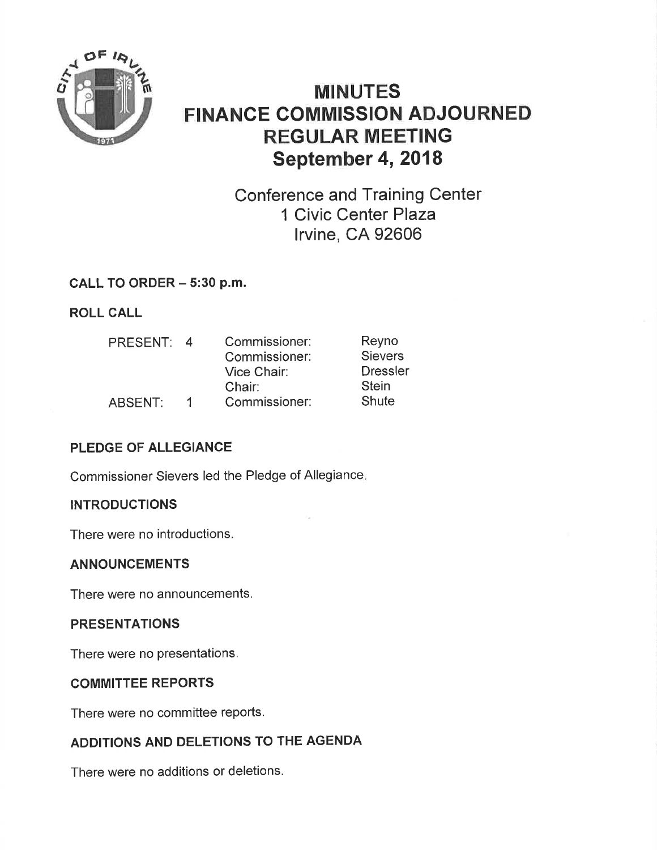

# MINUTES FINANCE GOMMISSION ADJOURNED REGULAR MEETING September 4, 2018

Conference and Training Center 1 Civic Center Plaza lrvine, CA 92606

# CALL TO ORDER - 5:30 p.m.

ROLL CALL

| Reyno           |
|-----------------|
| <b>Sievers</b>  |
| <b>Dressler</b> |
| <b>Stein</b>    |
| Shute           |
|                 |

# PLEDGE OF ALLEGIANCE

Commissioner Sievers led the Pledge of Allegiance

## **INTRODUCTIONS**

There were no introductions.

### ANNOUNCEMENTS

There were no announcements.

### PRESENTATIONS

There were no presentations.

### COMMITTEE REPORTS

There were no committee reports.

# ADDITIONS AND DELETIONS TO THE AGENDA

There were no additions or deletions.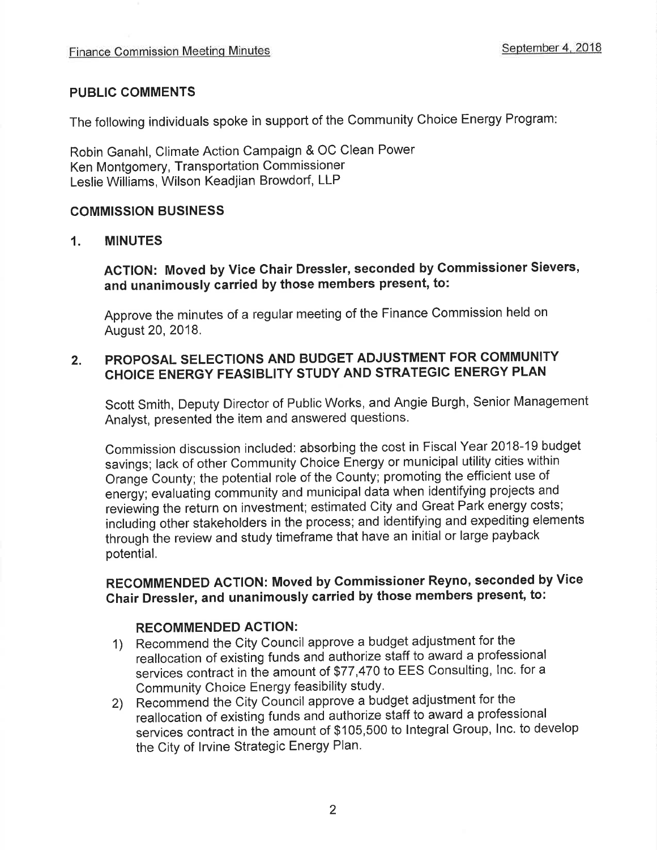#### PUBLIC COMMENTS

The following individuals spoke in support of the Community Choice Energy Program

Robin Ganahl, Climate Action Campaign & OC Clean Power Ken Montgomery, Transportation Commissioner Leslie Williams, Wilson Keadjian Browdorf, LLP

#### COMMISSION BUSINESS

#### 1. MINUTES

ACTION: Moved by Vice Ghair Dressler, seconded by Gommissioner Sievers, and unanimously carried by those members present, to:

Approve the minutes of a regular meeting of the Finance Commission held on August 20,2018.

#### PROPOSAL SELECTIONS AND BUDGET ADJUSTMENT FOR COMMUNITY CHOICE ENERGY FEASIBLITY STUDY AND STRATEGIC ENERGY PLAN 2.

Scott Smith, Deputy Director of Public Works, and Angie Burgh, Senior Management Analyst, presented the item and answered questions.

Commission discussion included: absorbing the cost in Fiscal Year 2018-19 budget savings; lack of other Community Choice Energy or municipal utility cities within Orange County; the potential role of the County; promoting the efficient use of energy; evaluating community and municipal data when identifying projects and reviewing the return on investment; estimated City and Great Park energy costs; including other stakeholders in the process; and identifying and expediting elements through the review and study timeframe that have an initial or large payback potential.

# RECOMMENDED AGTION: Moved by Commissioner Reyno, seconded by Vice Ghair Dressler, and unanimously carried by those members present, to:

#### RECOMMENDED ACTION:

- 1) Recommend the City Council approve a budget adjustment for the reallocation of existing funds and authorize staff to award a professional services contract in the amount of \$77,470 to EES Consulting, lnc. for <sup>a</sup> Community Choice Energy feasibility study.
- 2) Recommend the City Council approve a budget adjustment for the reallocation of existing funds and authorize staff to award a professional services contract in the amount of \$105,500 to Integral Group, Inc. to develop the City of lrvine Strategic Energy Plan.